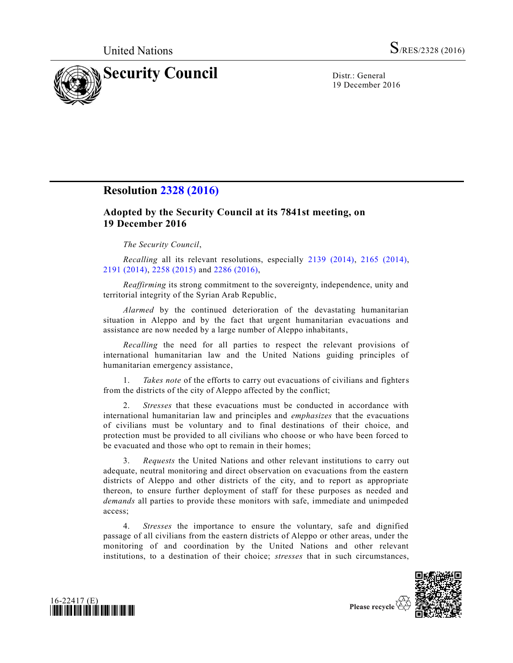

19 December 2016

## **Resolution [2328 \(2016\)](http://undocs.org/S/RES/2328(2016))**

## **Adopted by the Security Council at its 7841st meeting, on 19 December 2016**

*The Security Council*,

*Recalling* all its relevant resolutions, especially [2139 \(2014\),](http://undocs.org/S/RES/2139(2014)) [2165 \(2014\),](http://undocs.org/S/RES/2165(2014)) [2191 \(2014\),](http://undocs.org/S/RES/2191(2014)) [2258 \(2015\)](http://undocs.org/S/RES/2258(2015)) and [2286 \(2016\),](http://undocs.org/S/RES/2286(2016))

*Reaffirming* its strong commitment to the sovereignty, independence, unity and territorial integrity of the Syrian Arab Republic,

*Alarmed* by the continued deterioration of the devastating humanitarian situation in Aleppo and by the fact that urgent humanitarian evacuations and assistance are now needed by a large number of Aleppo inhabitants,

*Recalling* the need for all parties to respect the relevant provisions of international humanitarian law and the United Nations guiding principles of humanitarian emergency assistance,

1. *Takes note* of the efforts to carry out evacuations of civilians and fighters from the districts of the city of Aleppo affected by the conflict;

2. *Stresses* that these evacuations must be conducted in accordance with international humanitarian law and principles and *emphasizes* that the evacuations of civilians must be voluntary and to final destinations of their choice, and protection must be provided to all civilians who choose or who have been forced to be evacuated and those who opt to remain in their homes;

3. *Requests* the United Nations and other relevant institutions to carry out adequate, neutral monitoring and direct observation on evacuations from the eastern districts of Aleppo and other districts of the city, and to report as appropriate thereon, to ensure further deployment of staff for these purposes as needed and *demands* all parties to provide these monitors with safe, immediate and unimpeded access;

4. *Stresses* the importance to ensure the voluntary, safe and dignified passage of all civilians from the eastern districts of Aleppo or other areas, under the monitoring of and coordination by the United Nations and other relevant institutions, to a destination of their choice; *stresses* that in such circumstances,





Please recycle